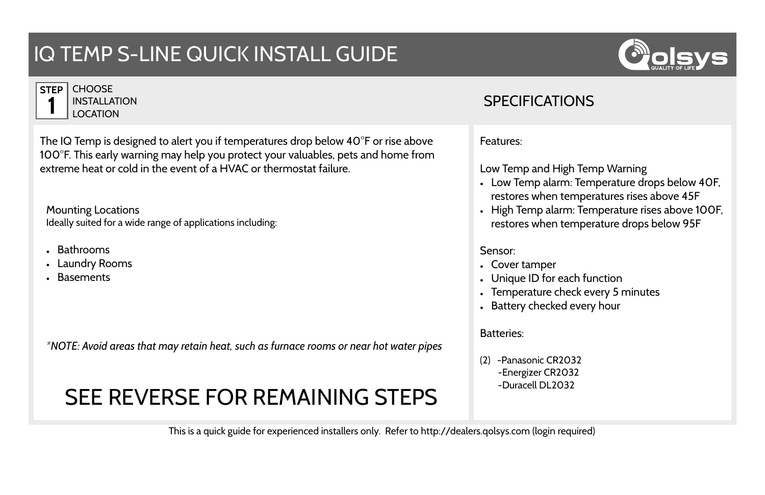## IQ TEMP S-LINE QUICK INSTALL GUIDE



| <b>STEP</b> | CH.  |
|-------------|------|
|             | INS  |
|             | 1 OC |

**OOSE ITALLATION CATION** 

The IQ Temp is designed to alert you if temperatures drop below 40°F or rise above 100°F. This early warning may help you protect your valuables, pets and home from extreme heat or cold in the event of a HVAC or thermostat failure.

Mounting Locations Ideally suited for a wide range of applications including:

- Bathrooms
- Laundry Rooms
- Basements

*\*NOTE: Avoid areas that may retain heat, such as furnace rooms or near hot water pipes*

## SEE REVERSE FOR REMAINING STEPS

## **SPECIFICATIONS**

Features:

Low Temp and High Temp Warning

- Low Temp alarm: Temperature drops below 40F, restores when temperatures rises above 45F
- High Temp alarm: Temperature rises above 100F, restores when temperature drops below 95F

## Sensor:

- Cover tamper
- Unique ID for each function
- Temperature check every 5 minutes
- Battery checked every hour

Batteries:

(2) -Panasonic CR2032 -Energizer CR2032 -Duracell DL2032

This is a quick guide for experienced installers only. Refer to http://dealers.qolsys.com (login required)